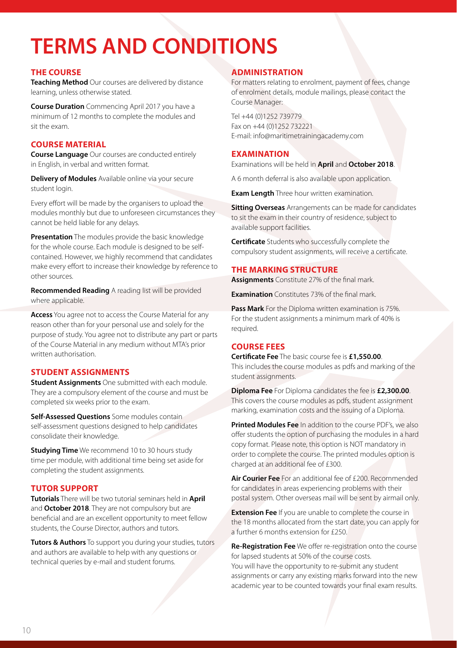# **TERMS AND CONDITIONS**

### **THE COURSE**

**Teaching Method** Our courses are delivered by distance learning, unless otherwise stated.

**Course Duration** Commencing April 2017 you have a minimum of 12 months to complete the modules and sit the exam.

#### **COURSE MATERIAL**

**Course Language** Our courses are conducted entirely in English, in verbal and written format.

**Delivery of Modules** Available online via your secure student login.

Every effort will be made by the organisers to upload the modules monthly but due to unforeseen circumstances they cannot be held liable for any delays.

**Presentation** The modules provide the basic knowledge for the whole course. Each module is designed to be selfcontained. However, we highly recommend that candidates make every effort to increase their knowledge by reference to other sources.

**Recommended Reading** A reading list will be provided where applicable.

**Access** You agree not to access the Course Material for any reason other than for your personal use and solely for the purpose of study. You agree not to distribute any part or parts of the Course Material in any medium without MTA's prior written authorisation.

# **STUDENT ASSIGNMENTS**

**Student Assignments** One submitted with each module. They are a compulsory element of the course and must be completed six weeks prior to the exam.

**Self-Assessed Questions** Some modules contain self-assessment questions designed to help candidates consolidate their knowledge.

**Studying Time** We recommend 10 to 30 hours study time per module, with additional time being set aside for completing the student assignments.

# **TUTOR SUPPORT**

**Tutorials** There will be two tutorial seminars held in **April** and **October 2018**. They are not compulsory but are beneficial and are an excellent opportunity to meet fellow students, the Course Director, authors and tutors.

**Tutors & Authors** To support you during your studies, tutors and authors are available to help with any questions or technical queries by e-mail and student forums.

# **ADMINISTRATION**

For matters relating to enrolment, payment of fees, change of enrolment details, module mailings, please contact the Course Manager:

Tel +44 (0)1252 739779 Fax on +44 (0)1252 732221 E-mail: info@maritimetrainingacademy.com

### **EXAMINATION**

Examinations will be held in **April** and **October 2018**.

A 6 month deferral is also available upon application.

**Exam Length** Three hour written examination.

**Sitting Overseas** Arrangements can be made for candidates to sit the exam in their country of residence, subject to available support facilities.

**Certificate** Students who successfully complete the compulsory student assignments, will receive a certificate.

### **THE MARKING STRUCTURE**

**Assignments** Constitute 27% of the final mark.

**Examination** Constitutes 73% of the final mark

**Pass Mark** For the Diploma written examination is 75%. For the student assignments a minimum mark of 40% is required.

# **COURSE FEES**

**Certificate Fee** The basic course fee is **£1,550.00**. This includes the course modules as pdfs and marking of the student assignments.

**Diploma Fee** For Diploma candidates the fee is **£2,300.00**. This covers the course modules as pdfs, student assignment marking, examination costs and the issuing of a Diploma.

**Printed Modules Fee** In addition to the course PDF's, we also offer students the option of purchasing the modules in a hard copy format. Please note, this option is NOT mandatory in order to complete the course. The printed modules option is charged at an additional fee of £300.

**Air Courier Fee** For an additional fee of £200. Recommended for candidates in areas experiencing problems with their postal system. Other overseas mail will be sent by airmail only.

**Extension Fee** If you are unable to complete the course in the 18 months allocated from the start date, you can apply for a further 6 months extension for £250.

**Re-Registration Fee** We offer re-registration onto the course for lapsed students at 50% of the course costs. You will have the opportunity to re-submit any student assignments or carry any existing marks forward into the new academic year to be counted towards your final exam results.